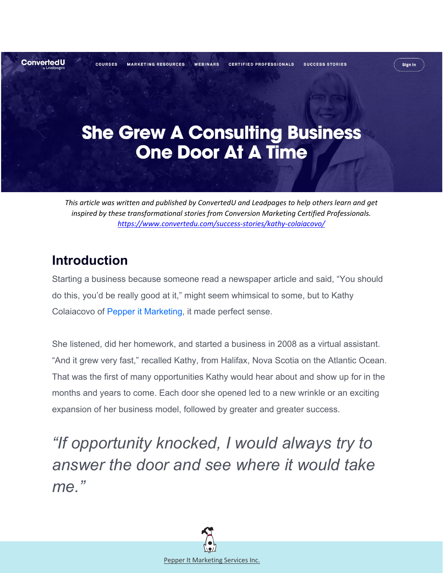

# **She Grew A Consulting Business One Door At A Time**

*This article was written and published by ConvertedU and Leadpages to help others learn and get inspired by these transformational stories from Conversion Marketing Certified Professionals. <https://www.convertedu.com/success-stories/kathy-colaiacovo/>*

## **Introduction**

Starting a business because someone read a newspaper article and said, "You should do this, you'd be really good at it," might seem whimsical to some, but to Kathy Colaiacovo of [Pepper it Marketing,](http://www.pepperitmarketing.com/) it made perfect sense.

She listened, did her homework, and started a business in 2008 as a virtual assistant. "And it grew very fast," recalled Kathy, from Halifax, Nova Scotia on the Atlantic Ocean. That was the first of many opportunities Kathy would hear about and show up for in the months and years to come. Each door she opened led to a new wrinkle or an exciting expansion of her business model, followed by greater and greater success.

*"If opportunity knocked, I would always try to answer the door and see where it would take me."*

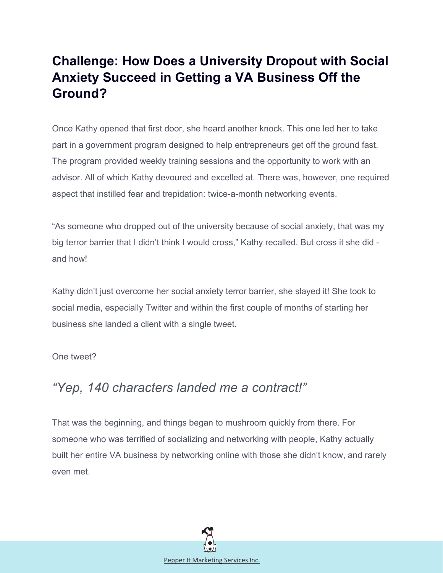## **Challenge: How Does a University Dropout with Social Anxiety Succeed in Getting a VA Business Off the Ground?**

Once Kathy opened that first door, she heard another knock. This one led her to take part in a government program designed to help entrepreneurs get off the ground fast. The program provided weekly training sessions and the opportunity to work with an advisor. All of which Kathy devoured and excelled at. There was, however, one required aspect that instilled fear and trepidation: twice-a-month networking events.

"As someone who dropped out of the university because of social anxiety, that was my big terror barrier that I didn't think I would cross," Kathy recalled. But cross it she did and how!

Kathy didn't just overcome her social anxiety terror barrier, she slayed it! She took to social media, especially Twitter and within the first couple of months of starting her business she landed a client with a single tweet.

One tweet?

### *"Yep, 140 characters landed me a contract!"*

That was the beginning, and things began to mushroom quickly from there. For someone who was terrified of socializing and networking with people, Kathy actually built her entire VA business by networking online with those she didn't know, and rarely even met.

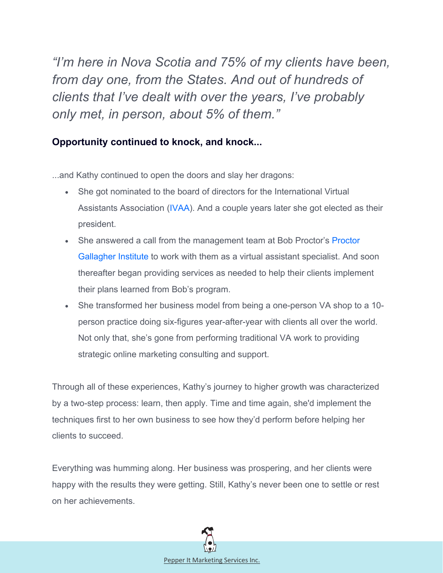*"I'm here in Nova Scotia and 75% of my clients have been, from day one, from the States. And out of hundreds of clients that I've dealt with over the years, I've probably only met, in person, about 5% of them."*

#### **Opportunity continued to knock, and knock...**

...and Kathy continued to open the doors and slay her dragons:

- She got nominated to the board of directors for the International Virtual Assistants Association [\(IVAA\)](http://ivaa.org/). And a couple years later she got elected as their president.
- She answered a call from the management team at Bob Proctor's Proctor [Gallagher Institute](http://www.proctorgallagherinstitute.com/) to work with them as a virtual assistant specialist. And soon thereafter began providing services as needed to help their clients implement their plans learned from Bob's program.
- She transformed her business model from being a one-person VA shop to a 10 person practice doing six-figures year-after-year with clients all over the world. Not only that, she's gone from performing traditional VA work to providing strategic online marketing consulting and support.

Through all of these experiences, Kathy's journey to higher growth was characterized by a two-step process: learn, then apply. Time and time again, she'd implement the techniques first to her own business to see how they'd perform before helping her clients to succeed.

Everything was humming along. Her business was prospering, and her clients were happy with the results they were getting. Still, Kathy's never been one to settle or rest on her achievements.

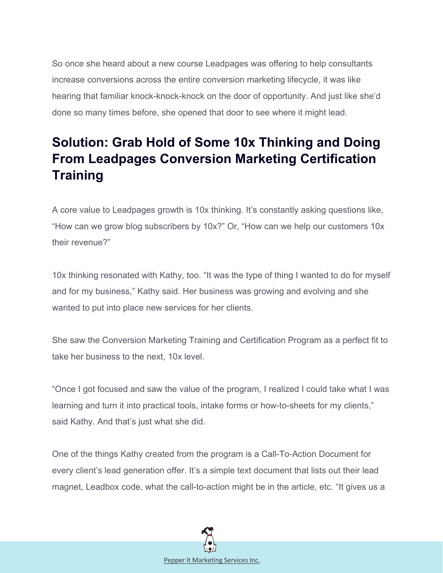So once she heard about a new course Leadpages was offering to help consultants increase conversions across the entire conversion marketing lifecycle, it was like hearing that familiar knock-knock-knock on the door of opportunity. And just like she'd done so many times before, she opened that door to see where it might lead.

## **Solution: Grab Hold of Some 10x Thinking and Doing From Leadpages Conversion Marketing Certification Training**

A core value to Leadpages growth is 10x thinking. It's constantly asking questions like, "How can we grow blog subscribers by 10x?" Or, "How can we help our customers 10x their revenue?"

10x thinking resonated with Kathy, too. "It was the type of thing I wanted to do for myself and for my business," Kathy said. Her business was growing and evolving and she wanted to put into place new services for her clients.

She saw the Conversion Marketing Training and Certification Program as a perfect fit to take her business to the next, 10x level.

"Once I got focused and saw the value of the program, I realized I could take what I was learning and turn it into practical tools, intake forms or how-to-sheets for my clients," said Kathy. And that's just what she did.

One of the things Kathy created from the program is a Call-To-Action Document for every client's lead generation offer. It's a simple text document that lists out their lead magnet, Leadbox code, what the call-to-action might be in the article, etc. "It gives us a

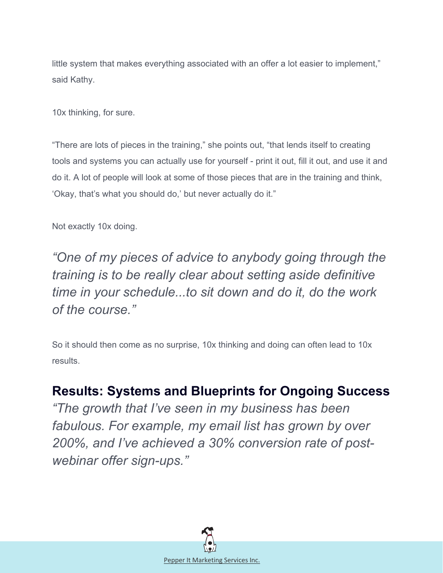little system that makes everything associated with an offer a lot easier to implement," said Kathy.

10x thinking, for sure.

"There are lots of pieces in the training," she points out, "that lends itself to creating tools and systems you can actually use for yourself - print it out, fill it out, and use it and do it. A lot of people will look at some of those pieces that are in the training and think, 'Okay, that's what you should do,' but never actually do it."

Not exactly 10x doing.

*"One of my pieces of advice to anybody going through the training is to be really clear about setting aside definitive time in your schedule...to sit down and do it, do the work of the course."*

So it should then come as no surprise, 10x thinking and doing can often lead to 10x results.

### **Results: Systems and Blueprints for Ongoing Success**

*"The growth that I've seen in my business has been fabulous. For example, my email list has grown by over 200%, and I've achieved a 30% conversion rate of postwebinar offer sign-ups."*

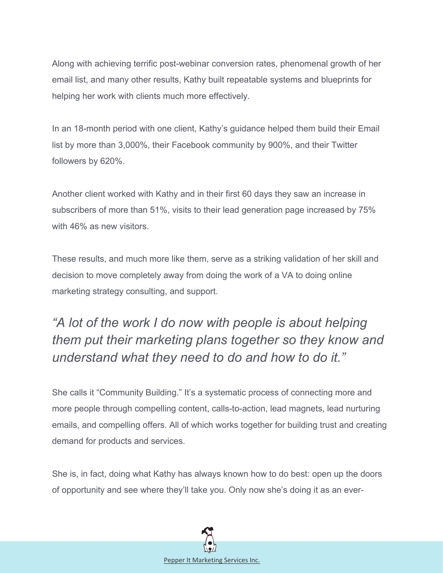Along with achieving terrific post-webinar conversion rates, phenomenal growth of her email list, and many other results, Kathy built repeatable systems and blueprints for helping her work with clients much more effectively.

In an 18-month period with one client, Kathy's guidance helped them build their Email list by more than 3,000%, their Facebook community by 900%, and their Twitter followers by 620%.

Another client worked with Kathy and in their first 60 days they saw an increase in subscribers of more than 51%, visits to their lead generation page increased by 75% with 46% as new visitors.

These results, and much more like them, serve as a striking validation of her skill and decision to move completely away from doing the work of a VA to doing online marketing strategy consulting, and support.

## *"A lot of the work I do now with people is about helping them put their marketing plans together so they know and understand what they need to do and how to do it."*

She calls it "Community Building." It's a systematic process of connecting more and more people through compelling content, calls-to-action, lead magnets, lead nurturing emails, and compelling offers. All of which works together for building trust and creating demand for products and services.

She is, in fact, doing what Kathy has always known how to do best: open up the doors of opportunity and see where they'll take you. Only now she's doing it as an ever-